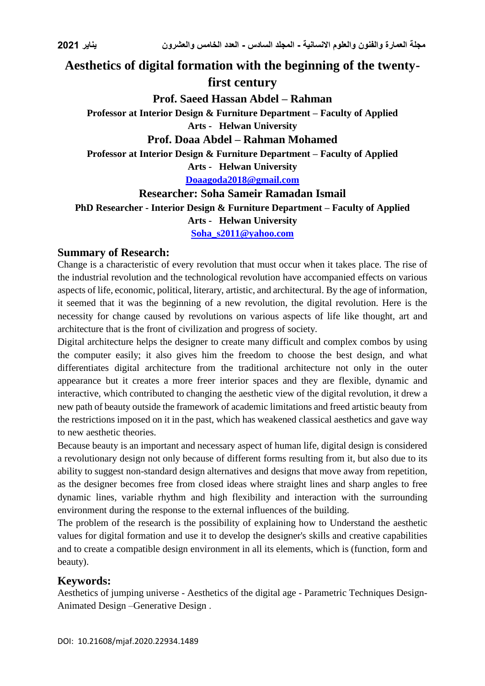## **Aesthetics of digital formation with the beginning of the twentyfirst century**

**Prof. Saeed Hassan Abdel – Rahman**

**Professor at Interior Design & Furniture Department – Faculty of Applied Arts - Helwan University**

#### **Prof. Doaa Abdel – Rahman Mohamed**

**Professor at Interior Design & Furniture Department – Faculty of Applied** 

**Arts - Helwan University**

**[Doaagoda2018@gmail.com](mailto:Doaagoda2018@gmail.com)**

**Researcher: Soha Sameir Ramadan Ismail PhD Researcher - Interior Design & Furniture Department – Faculty of Applied Arts - Helwan University**

**[Soha\\_s2011@yahoo.com](mailto:Soha_s2011@yahoo.com)**

#### **Summary of Research:**

Change is a characteristic of every revolution that must occur when it takes place. The rise of the industrial revolution and the technological revolution have accompanied effects on various aspects of life, economic, political, literary, artistic, and architectural. By the age of information, it seemed that it was the beginning of a new revolution, the digital revolution. Here is the necessity for change caused by revolutions on various aspects of life like thought, art and architecture that is the front of civilization and progress of society.

Digital architecture helps the designer to create many difficult and complex combos by using the computer easily; it also gives him the freedom to choose the best design, and what differentiates digital architecture from the traditional architecture not only in the outer appearance but it creates a more freer interior spaces and they are flexible, dynamic and interactive, which contributed to changing the aesthetic view of the digital revolution, it drew a new path of beauty outside the framework of academic limitations and freed artistic beauty from the restrictions imposed on it in the past, which has weakened classical aesthetics and gave way to new aesthetic theories.

Because beauty is an important and necessary aspect of human life, digital design is considered a revolutionary design not only because of different forms resulting from it, but also due to its ability to suggest non-standard design alternatives and designs that move away from repetition, as the designer becomes free from closed ideas where straight lines and sharp angles to free dynamic lines, variable rhythm and high flexibility and interaction with the surrounding environment during the response to the external influences of the building.

The problem of the research is the possibility of explaining how to Understand the aesthetic values for digital formation and use it to develop the designer's skills and creative capabilities and to create a compatible design environment in all its elements, which is (function, form and beauty).

### **Keywords:**

Aesthetics of jumping universe - Aesthetics of the digital age - Parametric Techniques Design-Animated Design –Generative Design .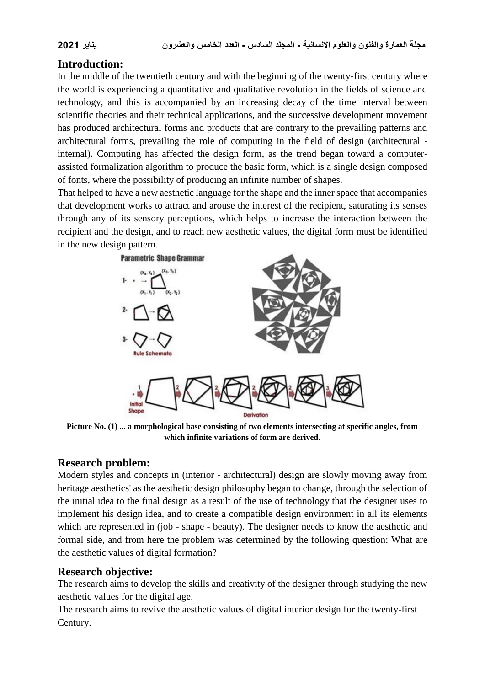#### **Introduction:**

In the middle of the twentieth century and with the beginning of the twenty-first century where the world is experiencing a quantitative and qualitative revolution in the fields of science and technology, and this is accompanied by an increasing decay of the time interval between scientific theories and their technical applications, and the successive development movement has produced architectural forms and products that are contrary to the prevailing patterns and architectural forms, prevailing the role of computing in the field of design (architectural internal). Computing has affected the design form, as the trend began toward a computerassisted formalization algorithm to produce the basic form, which is a single design composed of fonts, where the possibility of producing an infinite number of shapes.

That helped to have a new aesthetic language for the shape and the inner space that accompanies that development works to attract and arouse the interest of the recipient, saturating its senses through any of its sensory perceptions, which helps to increase the interaction between the recipient and the design, and to reach new aesthetic values, the digital form must be identified in the new design pattern.



**Picture No. (1) ... a morphological base consisting of two elements intersecting at specific angles, from which infinite variations of form are derived.**

### **Research problem:**

Modern styles and concepts in (interior - architectural) design are slowly moving away from heritage aesthetics' as the aesthetic design philosophy began to change, through the selection of the initial idea to the final design as a result of the use of technology that the designer uses to implement his design idea, and to create a compatible design environment in all its elements which are represented in (job - shape - beauty). The designer needs to know the aesthetic and formal side, and from here the problem was determined by the following question: What are the aesthetic values of digital formation?

#### **Research objective:**

The research aims to develop the skills and creativity of the designer through studying the new aesthetic values for the digital age.

The research aims to revive the aesthetic values of digital interior design for the twenty-first Century.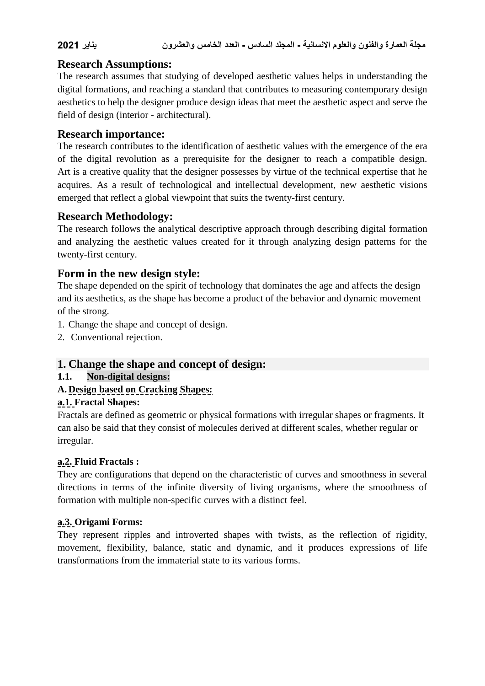### **Research Assumptions:**

The research assumes that studying of developed aesthetic values helps in understanding the digital formations, and reaching a standard that contributes to measuring contemporary design aesthetics to help the designer produce design ideas that meet the aesthetic aspect and serve the field of design (interior - architectural).

#### **Research importance:**

The research contributes to the identification of aesthetic values with the emergence of the era of the digital revolution as a prerequisite for the designer to reach a compatible design. Art is a creative quality that the designer possesses by virtue of the technical expertise that he acquires. As a result of technological and intellectual development, new aesthetic visions emerged that reflect a global viewpoint that suits the twenty-first century.

#### **Research Methodology:**

The research follows the analytical descriptive approach through describing digital formation and analyzing the aesthetic values created for it through analyzing design patterns for the twenty-first century.

### **Form in the new design style:**

The shape depended on the spirit of technology that dominates the age and affects the design and its aesthetics, as the shape has become a product of the behavior and dynamic movement of the strong.

- 1. Change the shape and concept of design.
- 2. Conventional rejection.

### **1. Change the shape and concept of design:**

#### **1.1. Non-digital designs:**

### **A. Design based on Cracking Shapes:**

#### **a.1. Fractal Shapes:**

Fractals are defined as geometric or physical formations with irregular shapes or fragments. It can also be said that they consist of molecules derived at different scales, whether regular or irregular.

#### **a.2. Fluid Fractals :**

They are configurations that depend on the characteristic of curves and smoothness in several directions in terms of the infinite diversity of living organisms, where the smoothness of formation with multiple non-specific curves with a distinct feel.

#### **a.3. Origami Forms:**

They represent ripples and introverted shapes with twists, as the reflection of rigidity, movement, flexibility, balance, static and dynamic, and it produces expressions of life transformations from the immaterial state to its various forms.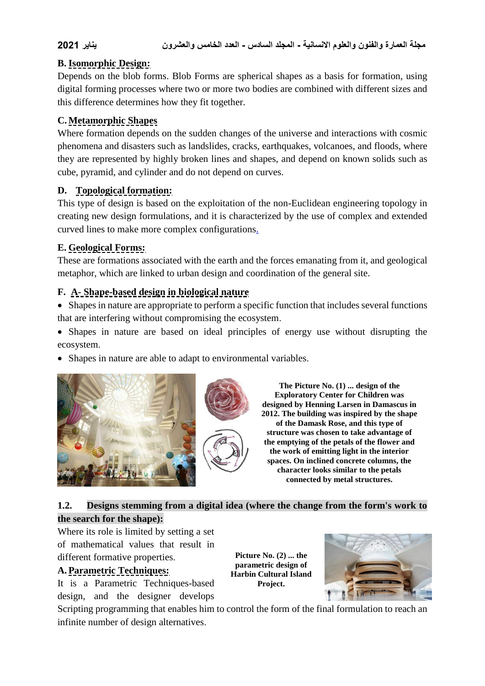#### **B. Isomorphic Design:**

Depends on the blob forms. Blob Forms are spherical shapes as a basis for formation, using digital forming processes where two or more two bodies are combined with different sizes and this difference determines how they fit together.

#### **C. Metamorphic Shapes**

Where formation depends on the sudden changes of the universe and interactions with cosmic phenomena and disasters such as landslides, cracks, earthquakes, volcanoes, and floods, where they are represented by highly broken lines and shapes, and depend on known solids such as cube, pyramid, and cylinder and do not depend on curves.

#### **D. Topological formation:**

This type of design is based on the exploitation of the non-Euclidean engineering topology in creating new design formulations, and it is characterized by the use of complex and extended curved lines to make more complex configurations.

### **E. Geological Forms:**

These are formations associated with the earth and the forces emanating from it, and geological metaphor, which are linked to urban design and coordination of the general site.

#### **F. A- Shape-based design in biological nature**

 Shapes in nature are appropriate to perform a specific function that includes several functions that are interfering without compromising the ecosystem.

 Shapes in nature are based on ideal principles of energy use without disrupting the ecosystem.

• Shapes in nature are able to adapt to environmental variables.



**The Picture No. (1) ... design of the Exploratory Center for Children was designed by Henning Larsen in Damascus in 2012. The building was inspired by the shape of the Damask Rose, and this type of structure was chosen to take advantage of the emptying of the petals of the flower and the work of emitting light in the interior spaces. On inclined concrete columns, the character looks similar to the petals connected by metal structures.**

### **1.2. Designs stemming from a digital idea (where the change from the form's work to the search for the shape):**

Where its role is limited by setting a set of mathematical values that result in different formative properties.

#### **A. Parametric Techniques:**

It is a Parametric Techniques-based design, and the designer develops

**Picture No. (2) ... the parametric design of Harbin Cultural Island Project.**



Scripting programming that enables him to control the form of the final formulation to reach an infinite number of design alternatives.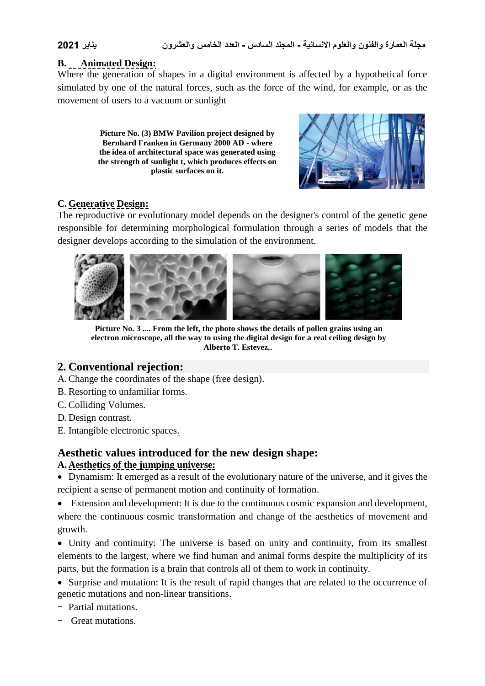#### **B. Animated Design:**

Where the generation of shapes in a digital environment is affected by a hypothetical force simulated by one of the natural forces, such as the force of the wind, for example, or as the movement of users to a vacuum or sunlight

> **Picture No. (3) BMW Pavilion project designed by Bernhard Franken in Germany 2000 AD - where the idea of architectural space was generated using the strength of sunlight t, which produces effects on plastic surfaces on it.**



#### **C. Generative Design:**

The reproductive or evolutionary model depends on the designer's control of the genetic gene responsible for determining morphological formulation through a series of models that the designer develops according to the simulation of the environment.



**Picture No. 3 .... From the left, the photo shows the details of pollen grains using an electron microscope, all the way to using the digital design for a real ceiling design by Alberto T. Estevez..**

### **2. Conventional rejection:**

- A.Change the coordinates of the shape (free design).
- B. Resorting to unfamiliar forms.
- C. Colliding Volumes.
- D. Design contrast.
- E. Intangible electronic spaces.

# **Aesthetic values introduced for the new design shape:**

#### **A. Aesthetics of the jumping universe:**

 Dynamism: It emerged as a result of the evolutionary nature of the universe, and it gives the recipient a sense of permanent motion and continuity of formation.

 Extension and development: It is due to the continuous cosmic expansion and development, where the continuous cosmic transformation and change of the aesthetics of movement and growth.

• Unity and continuity: The universe is based on unity and continuity, from its smallest elements to the largest, where we find human and animal forms despite the multiplicity of its parts, but the formation is a brain that controls all of them to work in continuity.

 Surprise and mutation: It is the result of rapid changes that are related to the occurrence of genetic mutations and non-linear transitions.

- Partial mutations.

- Great mutations.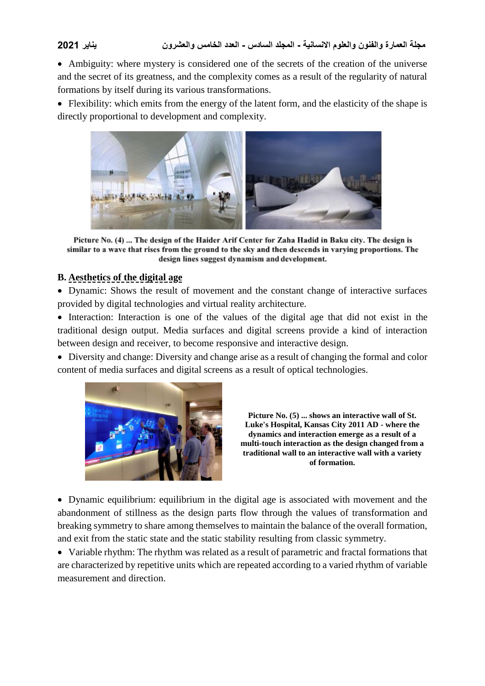#### **مجلة العمارة والفنون والعلوم االنسانية - المجلد السادس - العدد الخامس والعشرون يناير 2021**

 Ambiguity: where mystery is considered one of the secrets of the creation of the universe and the secret of its greatness, and the complexity comes as a result of the regularity of natural formations by itself during its various transformations.

• Flexibility: which emits from the energy of the latent form, and the elasticity of the shape is directly proportional to development and complexity.



Picture No. (4) ... The design of the Haider Arif Center for Zaha Hadid in Baku city. The design is similar to a wave that rises from the ground to the sky and then descends in varying proportions. The design lines suggest dynamism and development.

#### **B. Aesthetics of the digital age**

 Dynamic: Shows the result of movement and the constant change of interactive surfaces provided by digital technologies and virtual reality architecture.

 Interaction: Interaction is one of the values of the digital age that did not exist in the traditional design output. Media surfaces and digital screens provide a kind of interaction between design and receiver, to become responsive and interactive design.

 Diversity and change: Diversity and change arise as a result of changing the formal and color content of media surfaces and digital screens as a result of optical technologies.



**Picture No. (5) ... shows an interactive wall of St. Luke's Hospital, Kansas City 2011 AD - where the dynamics and interaction emerge as a result of a multi-touch interaction as the design changed from a traditional wall to an interactive wall with a variety of formation.**

 Dynamic equilibrium: equilibrium in the digital age is associated with movement and the abandonment of stillness as the design parts flow through the values of transformation and breaking symmetry to share among themselves to maintain the balance of the overall formation, and exit from the static state and the static stability resulting from classic symmetry.

 Variable rhythm: The rhythm was related as a result of parametric and fractal formations that are characterized by repetitive units which are repeated according to a varied rhythm of variable measurement and direction.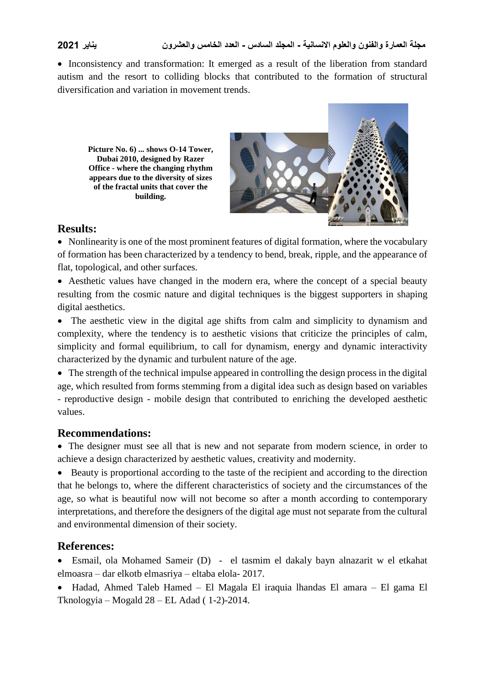• Inconsistency and transformation: It emerged as a result of the liberation from standard autism and the resort to colliding blocks that contributed to the formation of structural diversification and variation in movement trends.

**Picture No. 6) ... shows O-14 Tower, Dubai 2010, designed by Razer Office - where the changing rhythm appears due to the diversity of sizes of the fractal units that cover the building.**



#### **Results:**

• Nonlinearity is one of the most prominent features of digital formation, where the vocabulary of formation has been characterized by a tendency to bend, break, ripple, and the appearance of flat, topological, and other surfaces.

 Aesthetic values have changed in the modern era, where the concept of a special beauty resulting from the cosmic nature and digital techniques is the biggest supporters in shaping digital aesthetics.

• The aesthetic view in the digital age shifts from calm and simplicity to dynamism and complexity, where the tendency is to aesthetic visions that criticize the principles of calm, simplicity and formal equilibrium, to call for dynamism, energy and dynamic interactivity characterized by the dynamic and turbulent nature of the age.

• The strength of the technical impulse appeared in controlling the design process in the digital age, which resulted from forms stemming from a digital idea such as design based on variables - reproductive design - mobile design that contributed to enriching the developed aesthetic values.

### **Recommendations:**

 The designer must see all that is new and not separate from modern science, in order to achieve a design characterized by aesthetic values, creativity and modernity.

 Beauty is proportional according to the taste of the recipient and according to the direction that he belongs to, where the different characteristics of society and the circumstances of the age, so what is beautiful now will not become so after a month according to contemporary interpretations, and therefore the designers of the digital age must not separate from the cultural and environmental dimension of their society.

### **References:**

 Esmail, ola Mohamed Sameir (D) - el tasmim el dakaly bayn alnazarit w el etkahat elmoasra – dar elkotb elmasriya – eltaba elola- 2017.

 Hadad, Ahmed Taleb Hamed – El Magala El iraquia lhandas El amara – El gama El Tknologyia – Mogald 28 – EL Adad ( 1-2)-2014.